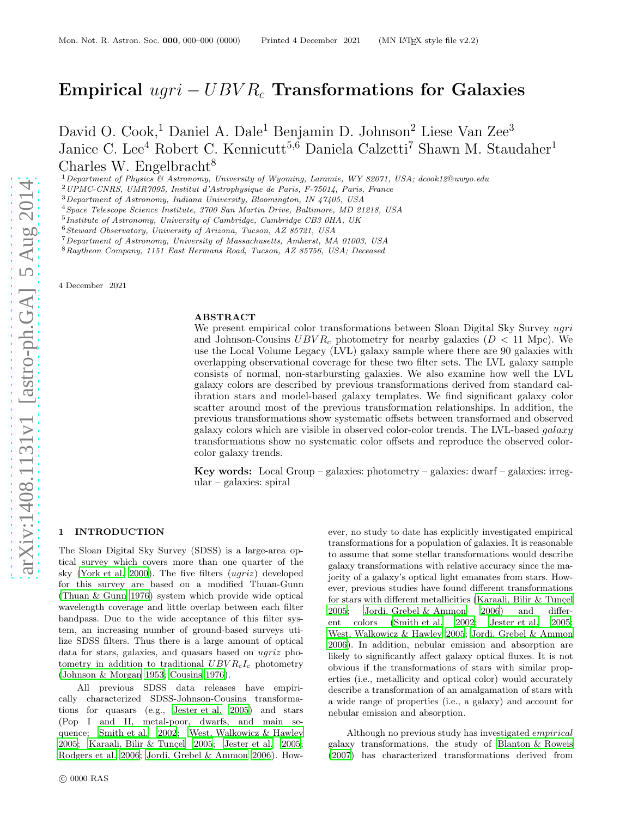# Empirical  $uqri - UBV R_c$  Transformations for Galaxies

David O. Cook,<sup>1</sup> Daniel A. Dale<sup>1</sup> Benjamin D. Johnson<sup>2</sup> Liese Van Zee<sup>3</sup> Janice C. Lee<sup>4</sup> Robert C. Kennicutt<sup>5,6</sup> Daniela Calzetti<sup>7</sup> Shawn M. Staudaher<sup>1</sup> Charles W. Engelbracht<sup>8</sup>

 $1$ Department of Physics & Astronomy, University of Wyoming, Laramie, WY 82071, USA; dcook12@uwyo.edu

<sup>2</sup>UPMC-CNRS, UMR7095, Institut d'Astrophysique de Paris, F-75014, Paris, France

<sup>4</sup>Space Telescope Science Institute, 3700 San Martin Drive, Baltimore, MD 21218, USA

5 Institute of Astronomy, University of Cambridge, Cambridge CB3 0HA, UK

<sup>7</sup>Department of Astronomy, University of Massachusetts, Amherst, MA 01003, USA

<sup>8</sup>Raytheon Company, 1151 East Hermans Road, Tucson, AZ 85756, USA; Deceased

4 December 2021

## ABSTRACT

We present empirical color transformations between Sloan Digital Sky Survey ugri and Johnson-Cousins  $UBVR_c$  photometry for nearby galaxies ( $D < 11$  Mpc). We use the Local Volume Legacy (LVL) galaxy sample where there are 90 galaxies with overlapping observational coverage for these two filter sets. The LVL galaxy sample consists of normal, non-starbursting galaxies. We also examine how well the LVL galaxy colors are described by previous transformations derived from standard calibration stars and model-based galaxy templates. We find significant galaxy color scatter around most of the previous transformation relationships. In addition, the previous transformations show systematic offsets between transformed and observed galaxy colors which are visible in observed color-color trends. The LVL-based galaxy transformations show no systematic color offsets and reproduce the observed colorcolor galaxy trends.

Key words: Local Group – galaxies: photometry – galaxies: dwarf – galaxies: irregular – galaxies: spiral

#### 1 INTRODUCTION

The Sloan Digital Sky Survey (SDSS) is a large-area optical survey which covers more than one quarter of the sky [\(York et al. 2000\)](#page-8-0). The five filters (ugriz) developed for this survey are based on a modified Thuan-Gunn [\(Thuan & Gunn 1976\)](#page-8-1) system which provide wide optical wavelength coverage and little overlap between each filter bandpass. Due to the wide acceptance of this filter system, an increasing number of ground-based surveys utilize SDSS filters. Thus there is a large amount of optical data for stars, galaxies, and quasars based on ugriz photometry in addition to traditional  $UBVR<sub>c</sub>I<sub>c</sub>$  photometry [\(Johnson & Morgan 1953](#page-8-2); [Cousins 1976](#page-8-3)).

All previous SDSS data releases have empirically characterized SDSS-Johnson-Cousins transformations for quasars (e.g., [Jester et al. 2005](#page-8-4)) and stars (Pop I and II, metal-poor, dwarfs, and main sequence; [Smith et al. 2002](#page-8-5); [West, Walkowicz & Hawley](#page-8-6) [2005](#page-8-6); Karaali, Bilir & Tunçel 2005; [Jester et al. 2005](#page-8-4); [Rodgers et al. 2006](#page-8-8); [Jordi, Grebel & Ammon 2006\)](#page-8-9). How-

ever, no study to date has explicitly investigated empirical transformations for a population of galaxies. It is reasonable to assume that some stellar transformations would describe galaxy transformations with relative accuracy since the majority of a galaxy's optical light emanates from stars. However, previous studies have found different transformations for stars with different metallicities (Karaali, Bilir  $&$  Tunçel [2005](#page-8-7); [Jordi, Grebel & Ammon 2006](#page-8-9)) and different colors [\(Smith et al. 2002;](#page-8-5) [Jester et al. 2005;](#page-8-4) [West, Walkowicz & Hawley 2005](#page-8-6); [Jordi, Grebel & Ammon](#page-8-9) [2006](#page-8-9)). In addition, nebular emission and absorption are likely to significantly affect galaxy optical fluxes. It is not obvious if the transformations of stars with similar properties (i.e., metallicity and optical color) would accurately describe a transformation of an amalgamation of stars with a wide range of properties (i.e., a galaxy) and account for nebular emission and absorption.

Although no previous study has investigated empirical galaxy transformations, the study of [Blanton & Roweis](#page-8-10) [\(2007\)](#page-8-10) has characterized transformations derived from

<sup>3</sup>Department of Astronomy, Indiana University, Bloomington, IN 47405, USA

<sup>6</sup>Steward Observatory, University of Arizona, Tucson, AZ 85721, USA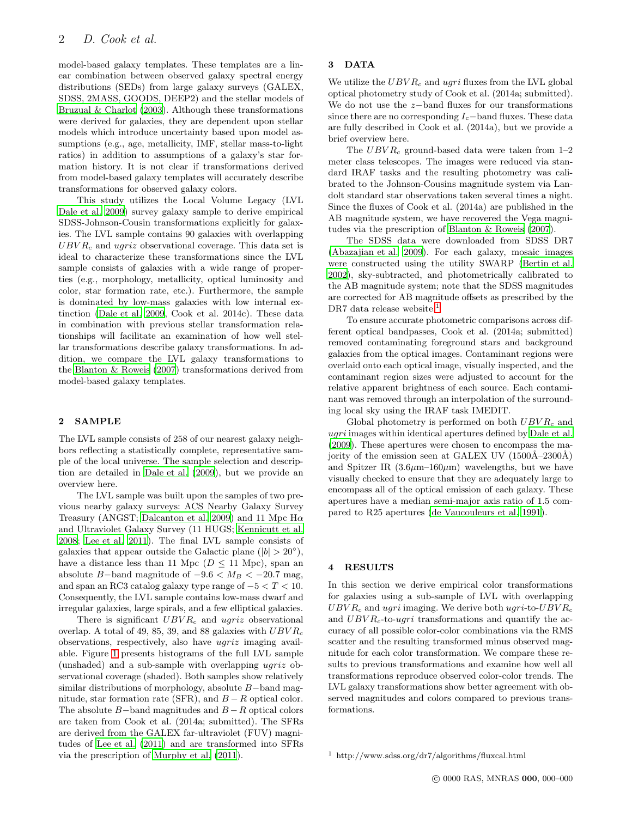model-based galaxy templates. These templates are a linear combination between observed galaxy spectral energy distributions (SEDs) from large galaxy surveys (GALEX, SDSS, 2MASS, GOODS, DEEP2) and the stellar models of [Bruzual & Charlot \(2003](#page-8-11)). Although these transformations were derived for galaxies, they are dependent upon stellar models which introduce uncertainty based upon model assumptions (e.g., age, metallicity, IMF, stellar mass-to-light ratios) in addition to assumptions of a galaxy's star formation history. It is not clear if transformations derived from model-based galaxy templates will accurately describe transformations for observed galaxy colors.

This study utilizes the Local Volume Legacy (LVL [Dale et al. 2009](#page-8-12)) survey galaxy sample to derive empirical SDSS-Johnson-Cousin transformations explicitly for galaxies. The LVL sample contains 90 galaxies with overlapping  $UBVR<sub>c</sub>$  and  $ugriz$  observational coverage. This data set is ideal to characterize these transformations since the LVL sample consists of galaxies with a wide range of properties (e.g., morphology, metallicity, optical luminosity and color, star formation rate, etc.). Furthermore, the sample is dominated by low-mass galaxies with low internal extinction [\(Dale et al. 2009](#page-8-12), Cook et al. 2014c). These data in combination with previous stellar transformation relationships will facilitate an examination of how well stellar transformations describe galaxy transformations. In addition, we compare the LVL galaxy transformations to the [Blanton & Roweis \(2007](#page-8-10)) transformations derived from model-based galaxy templates.

## 2 SAMPLE

The LVL sample consists of 258 of our nearest galaxy neighbors reflecting a statistically complete, representative sample of the local universe. The sample selection and description are detailed in [Dale et al. \(2009](#page-8-12)), but we provide an overview here.

The LVL sample was built upon the samples of two previous nearby galaxy surveys: ACS Nearby Galaxy Survey Treasury (ANGST; [Dalcanton et al. 2009](#page-8-13)) and 11 Mpc  $H\alpha$ and Ultraviolet Galaxy Survey (11 HUGS; [Kennicutt et al.](#page-8-14) [2008](#page-8-14); [Lee et al. 2011](#page-8-15)). The final LVL sample consists of galaxies that appear outside the Galactic plane ( $|b| > 20^{\circ}$ ), have a distance less than 11 Mpc ( $D \le 11$  Mpc), span an absolute B-band magnitude of  $-9.6 < M_B < -20.7$  mag, and span an RC3 catalog galaxy type range of  $-5 < T < 10$ . Consequently, the LVL sample contains low-mass dwarf and irregular galaxies, large spirals, and a few elliptical galaxies.

There is significant  $UBVR_c$  and ugriz observational overlap. A total of 49, 85, 39, and 88 galaxies with  $UBVR_c$ observations, respectively, also have ugriz imaging available. Figure [1](#page-2-0) presents histograms of the full LVL sample (unshaded) and a sub-sample with overlapping ugriz observational coverage (shaded). Both samples show relatively similar distributions of morphology, absolute B−band magnitude, star formation rate (SFR), and  $B - R$  optical color. The absolute  $B-$ band magnitudes and  $B-R$  optical colors are taken from Cook et al. (2014a; submitted). The SFRs are derived from the GALEX far-ultraviolet (FUV) magnitudes of [Lee et al. \(2011](#page-8-15)) and are transformed into SFRs via the prescription of [Murphy et al. \(2011](#page-8-16)).

## 3 DATA

We utilize the  $UBVR_c$  and ugri fluxes from the LVL global optical photometry study of Cook et al. (2014a; submitted). We do not use the z−band fluxes for our transformations since there are no corresponding  $I_c$ −band fluxes. These data are fully described in Cook et al. (2014a), but we provide a brief overview here.

The  $UBVR_c$  ground-based data were taken from 1–2 meter class telescopes. The images were reduced via standard IRAF tasks and the resulting photometry was calibrated to the Johnson-Cousins magnitude system via Landolt standard star observations taken several times a night. Since the fluxes of Cook et al. (2014a) are published in the AB magnitude system, we have recovered the Vega magnitudes via the prescription of [Blanton & Roweis \(2007\)](#page-8-10).

The SDSS data were downloaded from SDSS DR7 [\(Abazajian et al. 2009\)](#page-8-17). For each galaxy, mosaic images were constructed using the utility SWARP [\(Bertin et al.](#page-8-18) [2002](#page-8-18)), sky-subtracted, and photometrically calibrated to the AB magnitude system; note that the SDSS magnitudes are corrected for AB magnitude offsets as prescribed by the DR7 data release website.<sup>[1](#page-1-0)</sup>

To ensure accurate photometric comparisons across different optical bandpasses, Cook et al. (2014a; submitted) removed contaminating foreground stars and background galaxies from the optical images. Contaminant regions were overlaid onto each optical image, visually inspected, and the contaminant region sizes were adjusted to account for the relative apparent brightness of each source. Each contaminant was removed through an interpolation of the surrounding local sky using the IRAF task IMEDIT.

Global photometry is performed on both  $UBVR_c$  and ugri images within identical apertures defined by [Dale et al.](#page-8-12) [\(2009\)](#page-8-12). These apertures were chosen to encompass the majority of the emission seen at GALEX UV  $(1500\text{\AA}-2300\text{\AA})$ and Spitzer IR  $(3.6\mu m-160\mu m)$  wavelengths, but we have visually checked to ensure that they are adequately large to encompass all of the optical emission of each galaxy. These apertures have a median semi-major axis ratio of 1.5 compared to R25 apertures [\(de Vaucouleurs et al. 1991](#page-8-19)).

## 4 RESULTS

In this section we derive empirical color transformations for galaxies using a sub-sample of LVL with overlapping  $UBVR_c$  and ugri imaging. We derive both ugri-to- $UBVR_c$ and  $UBVR_c$ -to-ugri transformations and quantify the accuracy of all possible color-color combinations via the RMS scatter and the resulting transformed minus observed magnitude for each color transformation. We compare these results to previous transformations and examine how well all transformations reproduce observed color-color trends. The LVL galaxy transformations show better agreement with observed magnitudes and colors compared to previous transformations.

<span id="page-1-0"></span><sup>1</sup> http://www.sdss.org/dr7/algorithms/fluxcal.html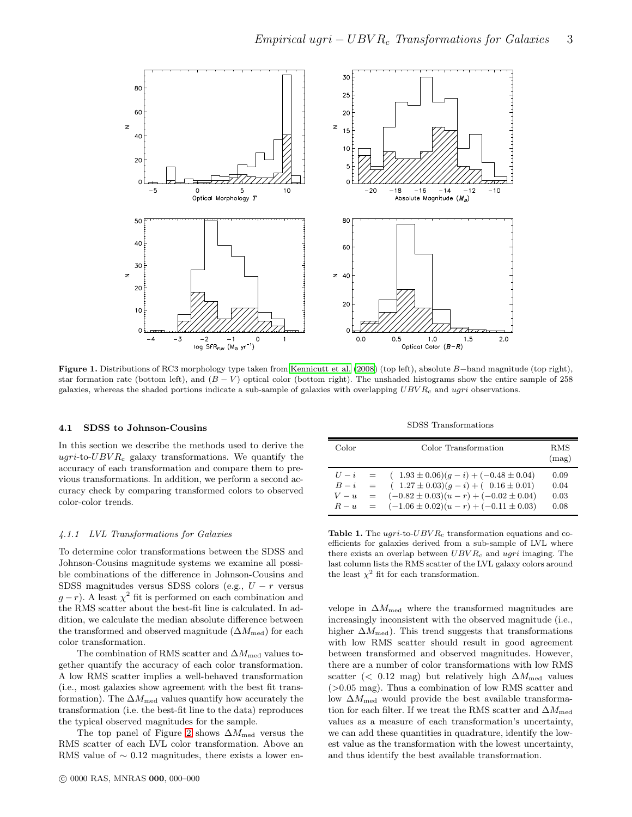

<span id="page-2-0"></span>Figure 1. Distributions of RC3 morphology type taken from [Kennicutt et al. \(2008\)](#page-8-14) (top left), absolute B−band magnitude (top right), star formation rate (bottom left), and  $(B - V)$  optical color (bottom right). The unshaded histograms show the entire sample of 258 galaxies, whereas the shaded portions indicate a sub-sample of galaxies with overlapping  $UBVR_c$  and ugri observations.

#### <span id="page-2-2"></span>4.1 SDSS to Johnson-Cousins

In this section we describe the methods used to derive the ugri-to- $UBVR_c$  galaxy transformations. We quantify the accuracy of each transformation and compare them to previous transformations. In addition, we perform a second accuracy check by comparing transformed colors to observed color-color trends.

#### <span id="page-2-3"></span>4.1.1 LVL Transformations for Galaxies

To determine color transformations between the SDSS and Johnson-Cousins magnitude systems we examine all possible combinations of the difference in Johnson-Cousins and SDSS magnitudes versus SDSS colors (e.g.,  $U - r$  versus  $g-r$ ). A least  $\chi^2$  fit is performed on each combination and the RMS scatter about the best-fit line is calculated. In addition, we calculate the median absolute difference between the transformed and observed magnitude ( $\Delta M_{\text{med}}$ ) for each color transformation.

The combination of RMS scatter and  $\Delta M_{\text{med}}$  values together quantify the accuracy of each color transformation. A low RMS scatter implies a well-behaved transformation (i.e., most galaxies show agreement with the best fit transformation). The  $\Delta M_{\text{med}}$  values quantify how accurately the transformation (i.e. the best-fit line to the data) reproduces the typical observed magnitudes for the sample.

The top panel of Figure [2](#page-3-0) shows  $\Delta M_{\rm med}$  versus the RMS scatter of each LVL color transformation. Above an RMS value of  $\sim 0.12$  magnitudes, there exists a lower en-

SDSS Transformations

| Color                           | Color Transformation                                                                                                                                                                                   | R.MS<br>(mag)                |
|---------------------------------|--------------------------------------------------------------------------------------------------------------------------------------------------------------------------------------------------------|------------------------------|
| $U - i =$<br>$B - i =$<br>$V-u$ | $(1.93 \pm 0.06)(q - i) + (-0.48 \pm 0.04)$<br>$(1.27 \pm 0.03)(q - i) + (0.16 \pm 0.01)$<br>$(-0.82 \pm 0.03)(u-r) + (-0.02 \pm 0.04)$<br>$=$<br>$R - u = (-1.06 \pm 0.02)(u - r) + (-0.11 \pm 0.03)$ | 0.09<br>0.04<br>0.03<br>0.08 |

<span id="page-2-1"></span>Table 1. The  $ugri$ -to- $UBVR_c$  transformation equations and coefficients for galaxies derived from a sub-sample of LVL where there exists an overlap between  $UBVR_c$  and ugri imaging. The last column lists the RMS scatter of the LVL galaxy colors around the least  $\chi^2$  fit for each transformation.

velope in  $\Delta M_{\text{med}}$  where the transformed magnitudes are increasingly inconsistent with the observed magnitude (i.e., higher  $\Delta M_{\text{med}}$ ). This trend suggests that transformations with low RMS scatter should result in good agreement between transformed and observed magnitudes. However, there are a number of color transformations with low RMS scatter (< 0.12 mag) but relatively high  $\Delta M_{\text{med}}$  values  $(>0.05$  mag). Thus a combination of low RMS scatter and low  $\Delta M_{\rm med}$  would provide the best available transformation for each filter. If we treat the RMS scatter and  $\Delta M_{\rm med}$ values as a measure of each transformation's uncertainty, we can add these quantities in quadrature, identify the lowest value as the transformation with the lowest uncertainty, and thus identify the best available transformation.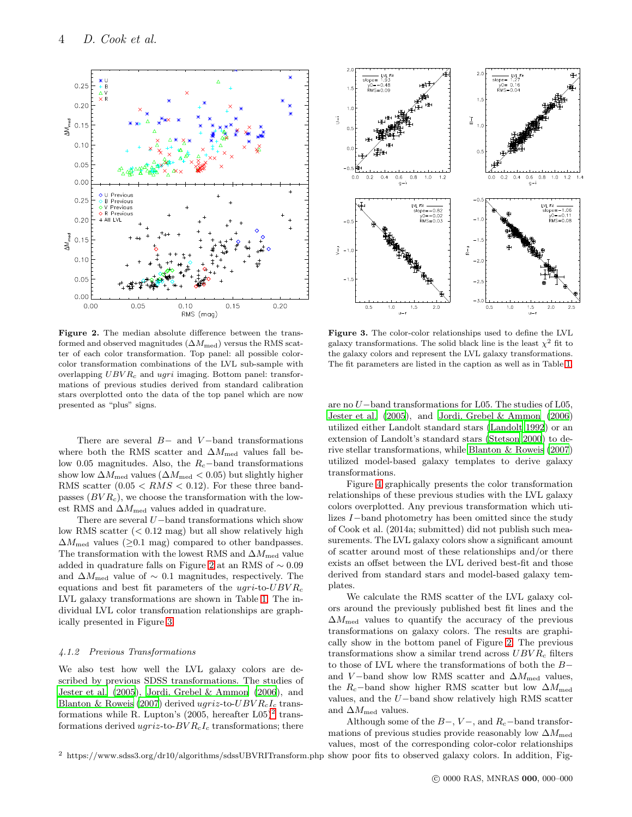

<span id="page-3-0"></span>Figure 2. The median absolute difference between the transformed and observed magnitudes  $(\Delta M_{\text{med}})$  versus the RMS scatter of each color transformation. Top panel: all possible colorcolor transformation combinations of the LVL sub-sample with overlapping  $UBVR_c$  and  $ugri$  imaging. Bottom panel: transformations of previous studies derived from standard calibration stars overplotted onto the data of the top panel which are now presented as "plus" signs.

There are several  $B-$  and  $V-$ band transformations where both the RMS scatter and  $\Delta M_{\rm med}$  values fall below 0.05 magnitudes. Also, the  $R_c$ −band transformations show low  $\Delta M_{\rm med}$  values ( $\Delta M_{\rm med} < 0.05)$  but slightly higher RMS scatter  $(0.05 < RMS < 0.12)$ . For these three bandpasses  $(BVR<sub>c</sub>)$ , we choose the transformation with the lowest RMS and  $\Delta M_{\text{med}}$  values added in quadrature.

There are several U−band transformations which show low RMS scatter  $( $0.12 \text{ mag}$ ) but all show relatively high$  $\Delta M_{\text{med}}$  values ( $\geq 0.1$  mag) compared to other bandpasses. The transformation with the lowest RMS and  $\Delta M_{\rm med}$  value added in quadrature falls on Figure [2](#page-3-0) at an RMS of ∼ 0.09 and  $\Delta M_{\text{med}}$  value of ~ 0.1 magnitudes, respectively. The equations and best fit parameters of the  $ugri$ -to- $UBVR_c$ LVL galaxy transformations are shown in Table [1.](#page-2-1) The individual LVL color transformation relationships are graphically presented in Figure [3.](#page-3-1)

#### 4.1.2 Previous Transformations

We also test how well the LVL galaxy colors are described by previous SDSS transformations. The studies of [Jester et al. \(2005](#page-8-4)), [Jordi, Grebel & Ammon \(2006\)](#page-8-9), and [Blanton & Roweis \(2007\)](#page-8-10) derived  $ugriz$ -to- $UBVR_cI_c$  transformations while R. Lupton's  $(2005, \text{ hereafter } L05)^2$  $(2005, \text{ hereafter } L05)^2$  $(2005, \text{ hereafter } L05)^2$  transformations derived  $ugriz$ -to- $BVR<sub>c</sub>I<sub>c</sub>$  transformations; there



<span id="page-3-1"></span>Figure 3. The color-color relationships used to define the LVL galaxy transformations. The solid black line is the least  $\chi^2$  fit to the galaxy colors and represent the LVL galaxy transformations. The fit parameters are listed in the caption as well as in Table [1.](#page-2-1)

are no U−band transformations for L05. The studies of L05, [Jester et al. \(2005\)](#page-8-4), and [Jordi, Grebel & Ammon \(2006\)](#page-8-9) utilized either Landolt standard stars [\(Landolt 1992\)](#page-8-20) or an extension of Landolt's standard stars [\(Stetson 2000](#page-8-21)) to derive stellar transformations, while [Blanton & Roweis \(2007\)](#page-8-10) utilized model-based galaxy templates to derive galaxy transformations.

Figure [4](#page-4-0) graphically presents the color transformation relationships of these previous studies with the LVL galaxy colors overplotted. Any previous transformation which utilizes I−band photometry has been omitted since the study of Cook et al. (2014a; submitted) did not publish such measurements. The LVL galaxy colors show a significant amount of scatter around most of these relationships and/or there exists an offset between the LVL derived best-fit and those derived from standard stars and model-based galaxy templates.

We calculate the RMS scatter of the LVL galaxy colors around the previously published best fit lines and the  $\Delta M_{\text{med}}$  values to quantify the accuracy of the previous transformations on galaxy colors. The results are graphically show in the bottom panel of Figure [2.](#page-3-0) The previous transformations show a similar trend across  $UBVR_c$  filters to those of LVL where the transformations of both the B− and V-band show low RMS scatter and  $\Delta M_{\text{med}}$  values, the R<sub>c</sub>−band show higher RMS scatter but low  $\Delta M_{\text{med}}$ values, and the U−band show relatively high RMS scatter and  $\Delta M_{\text{med}}$  values.

<span id="page-3-2"></span><sup>2</sup> https://www.sdss3.org/dr10/algorithms/sdssUBVRITransform.php show poor fits to observed galaxy colors. In addition, Fig-Although some of the  $B-$ ,  $V-$ , and  $R_c$ -band transformations of previous studies provide reasonably low  $\Delta M_{\text{med}}$ values, most of the corresponding color-color relationships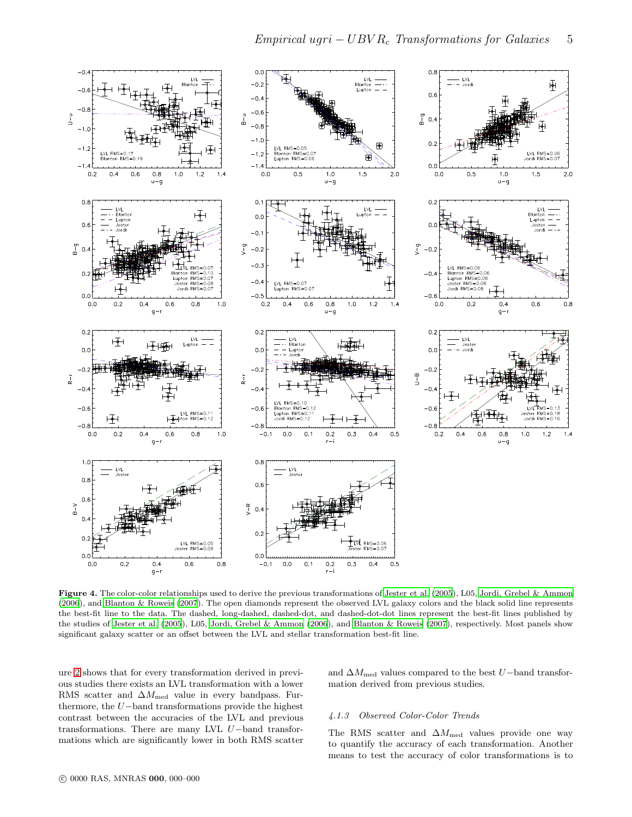

<span id="page-4-0"></span>Figure 4. The color-color relationships used to derive the previous transformations of [Jester et al. \(2005](#page-8-4)), L05, [Jordi, Grebel &](#page-8-9) Ammon [\(2006\)](#page-8-9), and [Blanton & Roweis \(2007](#page-8-10)). The open diamonds represent the observed LVL galaxy colors and the black solid line represents the best-fit line to the data. The dashed, long-dashed, dashed-dot, and dashed-dot-dot lines represent the best-fit lines published by the studies of [Jester et al. \(2005](#page-8-4)), L05, [Jordi, Grebel & Ammon \(2006](#page-8-9)), and [Blanton & Roweis \(2007\)](#page-8-10), respectively. Most panels show significant galaxy scatter or an offset between the LVL and stellar transformation best-fit line.

ure [2](#page-3-0) shows that for every transformation derived in previous studies there exists an LVL transformation with a lower RMS scatter and  $\Delta M_{\rm med}$  value in every bandpass. Furthermore, the U−band transformations provide the highest contrast between the accuracies of the LVL and previous transformations. There are many LVL U−band transformations which are significantly lower in both RMS scatter and  $\Delta M_{\rm med}$  values compared to the best U−band transformation derived from previous studies.

## 4.1.3 Observed Color-Color Trends

The RMS scatter and  $\Delta M_{\text{med}}$  values provide one way to quantify the accuracy of each transformation. Another means to test the accuracy of color transformations is to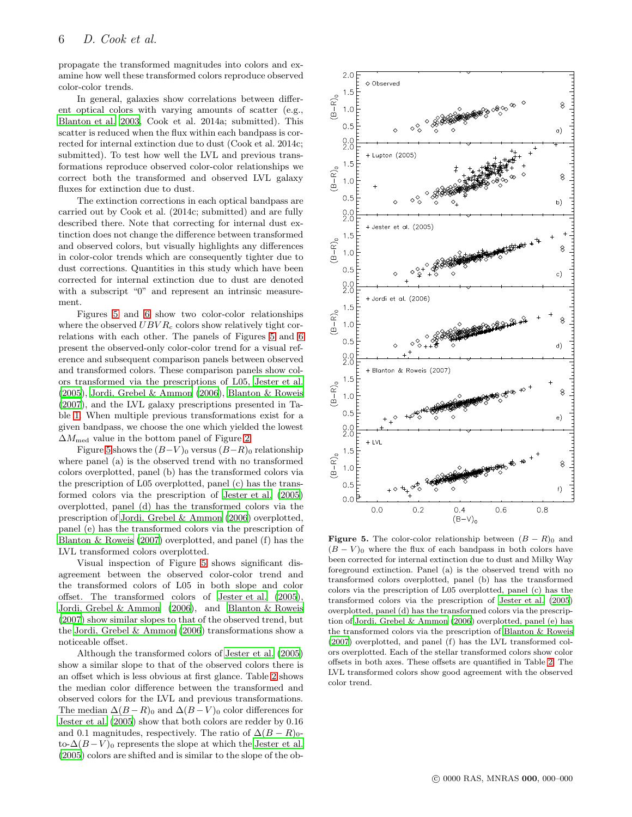propagate the transformed magnitudes into colors and examine how well these transformed colors reproduce observed color-color trends.

In general, galaxies show correlations between different optical colors with varying amounts of scatter (e.g., [Blanton et al. 2003](#page-8-22), Cook et al. 2014a; submitted). This scatter is reduced when the flux within each bandpass is corrected for internal extinction due to dust (Cook et al. 2014c; submitted). To test how well the LVL and previous transformations reproduce observed color-color relationships we correct both the transformed and observed LVL galaxy fluxes for extinction due to dust.

The extinction corrections in each optical bandpass are carried out by Cook et al. (2014c; submitted) and are fully described there. Note that correcting for internal dust extinction does not change the difference between transformed and observed colors, but visually highlights any differences in color-color trends which are consequently tighter due to dust corrections. Quantities in this study which have been corrected for internal extinction due to dust are denoted with a subscript "0" and represent an intrinsic measurement.

Figures [5](#page-5-0) and [6](#page-7-0) show two color-color relationships where the observed  $UBVR_c$  colors show relatively tight correlations with each other. The panels of Figures [5](#page-5-0) and [6](#page-7-0) present the observed-only color-color trend for a visual reference and subsequent comparison panels between observed and transformed colors. These comparison panels show colors transformed via the prescriptions of L05, [Jester et al.](#page-8-4) [\(2005](#page-8-4)), [Jordi, Grebel & Ammon \(2006\)](#page-8-9), [Blanton & Roweis](#page-8-10) [\(2007](#page-8-10)), and the LVL galaxy prescriptions presented in Table [1.](#page-2-1) When multiple previous transformations exist for a given bandpass, we choose the one which yielded the lowest  $\Delta M_{\text{med}}$  value in the bottom panel of Figure [2.](#page-3-0)

Figure [5](#page-5-0) shows the  $(B-V)_0$  versus  $(B-R)_0$  relationship where panel (a) is the observed trend with no transformed colors overplotted, panel (b) has the transformed colors via the prescription of L05 overplotted, panel (c) has the transformed colors via the prescription of [Jester et al. \(2005](#page-8-4)) overplotted, panel (d) has the transformed colors via the prescription of [Jordi, Grebel & Ammon \(2006](#page-8-9)) overplotted, panel (e) has the transformed colors via the prescription of [Blanton & Roweis \(2007](#page-8-10)) overplotted, and panel (f) has the LVL transformed colors overplotted.

Visual inspection of Figure [5](#page-5-0) shows significant disagreement between the observed color-color trend and the transformed colors of L05 in both slope and color offset. The transformed colors of [Jester et al. \(2005\)](#page-8-4), [Jordi, Grebel & Ammon \(2006\)](#page-8-9), and [Blanton & Roweis](#page-8-10) [\(2007](#page-8-10)) show similar slopes to that of the observed trend, but the [Jordi, Grebel & Ammon \(2006](#page-8-9)) transformations show a noticeable offset.

Although the transformed colors of [Jester et al. \(2005](#page-8-4)) show a similar slope to that of the observed colors there is an offset which is less obvious at first glance. Table [2](#page-6-0) shows the median color difference between the transformed and observed colors for the LVL and previous transformations. The median  $\Delta(B-R)_0$  and  $\Delta(B-V)_0$  color differences for [Jester et al. \(2005](#page-8-4)) show that both colors are redder by 0.16 and 0.1 magnitudes, respectively. The ratio of  $\Delta (B - R)_{0}$ to- $\Delta(B-V)_0$  represents the slope at which the [Jester et al.](#page-8-4) [\(2005](#page-8-4)) colors are shifted and is similar to the slope of the ob-



<span id="page-5-0"></span>**Figure 5.** The color-color relationship between  $(B - R)$ <sup>0</sup> and  $(B - V)_0$  where the flux of each bandpass in both colors have been corrected for internal extinction due to dust and Milky Way foreground extinction. Panel (a) is the observed trend with no transformed colors overplotted, panel (b) has the transformed colors via the prescription of L05 overplotted, panel (c) has the transformed colors via the prescription of [Jester et al. \(2005](#page-8-4)) overplotted, panel (d) has the transformed colors via the prescription of [Jordi, Grebel & Ammon \(2006\)](#page-8-9) overplotted, panel (e) has the transformed colors via the prescription of [Blanton & Roweis](#page-8-10) [\(2007](#page-8-10)) overplotted, and panel (f) has the LVL transformed colors overplotted. Each of the stellar transformed colors show color offsets in both axes. These offsets are quantified in Table [2.](#page-6-0) The LVL transformed colors show good agreement with the observed color trend.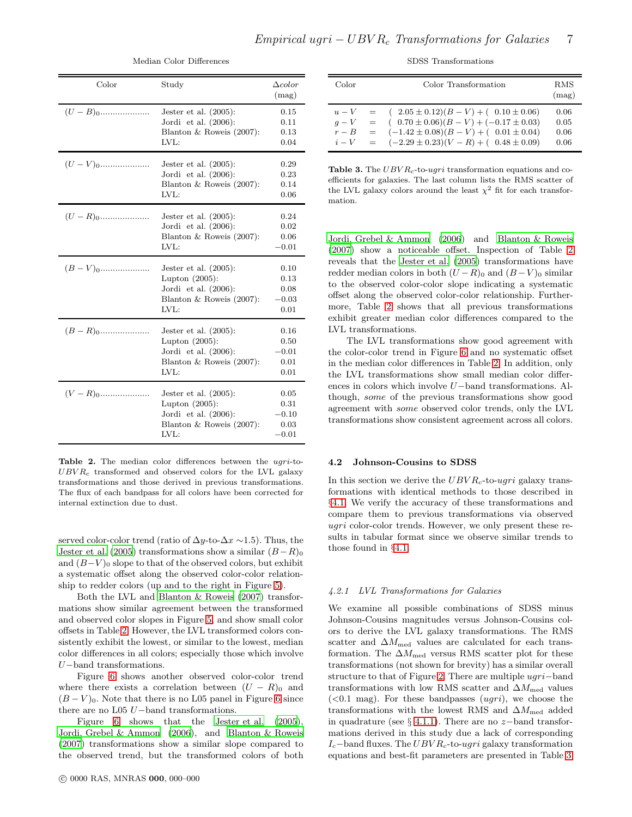| Color                  | Study                                                                                                           | $\Delta color$<br>(mag)                    |
|------------------------|-----------------------------------------------------------------------------------------------------------------|--------------------------------------------|
|                        | Jester et al. $(2005)$ :<br>Jordi et al. $(2006)$ :<br>Blanton & Roweis (2007):<br>LVL:                         | 0.15<br>0.11<br>0.13<br>0.04               |
| $(U-V)_0$              | Jester et al. $(2005)$ :<br>Jordi et al. $(2006)$ :<br>Blanton & Roweis $(2007)$ :<br>$LVI$ .:                  | 0.29<br>0.23<br>0.14<br>0.06               |
|                        | Jester et al. $(2005)$ :<br>Jordi et al. $(2006)$ :<br>Blanton & Roweis $(2007)$ :<br>LVL:                      | 0.24<br>0.02<br>0.06<br>$-0.01$            |
| $(B-V)_0$              | Jester et al. $(2005)$ :<br>Lupton $(2005)$ :<br>Jordi et al. $(2006)$ :<br>Blanton & Roweis $(2007)$ :<br>LVL: | 0.10<br>0.13<br>0.08<br>$-0.03$<br>0.01    |
|                        | Jester et al. $(2005)$ :<br>Lupton $(2005)$ :<br>Jordi et al. $(2006)$ :<br>Blanton & Roweis $(2007)$ :<br>IVL: | 0.16<br>0.50<br>$-0.01$<br>0.01<br>0.01    |
| $(V - R)$ <sup>0</sup> | Jester et al. $(2005)$ :<br>Lupton $(2005)$ :<br>Jordi et al. $(2006)$ :<br>Blanton & Roweis $(2007)$ :<br>LVL: | 0.05<br>0.31<br>$-0.10$<br>0.03<br>$-0.01$ |

Median Color Differences

<span id="page-6-0"></span>Table 2. The median color differences between the ugri-to- $UBVR<sub>c</sub>$  transformed and observed colors for the LVL galaxy transformations and those derived in previous transformations. The flux of each bandpass for all colors have been corrected for internal extinction due to dust.

served color-color trend (ratio of  $\Delta y$ -to- $\Delta x \sim 1.5$ ). Thus, the [Jester et al. \(2005](#page-8-4)) transformations show a similar  $(B-R)_0$ and  $(B-V)_0$  slope to that of the observed colors, but exhibit a systematic offset along the observed color-color relationship to redder colors (up and to the right in Figure [5\)](#page-5-0).

Both the LVL and [Blanton & Roweis \(2007](#page-8-10)) transformations show similar agreement between the transformed and observed color slopes in Figure [5,](#page-5-0) and show small color offsets in Table [2.](#page-6-0) However, the LVL transformed colors consistently exhibit the lowest, or similar to the lowest, median color differences in all colors; especially those which involve U−band transformations.

Figure [6](#page-7-0) shows another observed color-color trend where there exists a correlation between  $(U - R)$ <sub>0</sub> and  $(B - V)_0$ . Note that there is no L05 panel in Figure [6](#page-7-0) since there are no L05 U−band transformations.

Figure [6](#page-7-0) shows that the Jester et al.  $(2005)$ , [Jordi, Grebel & Ammon \(2006\)](#page-8-9), and [Blanton & Roweis](#page-8-10) [\(2007](#page-8-10)) transformations show a similar slope compared to the observed trend, but the transformed colors of both

## SDSS Transformations

| Color          |                           | Color Transformation                                                                                                                                                                                      | RMS<br>(mag)                 |
|----------------|---------------------------|-----------------------------------------------------------------------------------------------------------------------------------------------------------------------------------------------------------|------------------------------|
| $q-V$<br>$r-B$ | $\mathbf{r} = \mathbf{r}$ | $u - V = (2.05 \pm 0.12)(B - V) + (0.10 \pm 0.06)$<br>$(0.70 \pm 0.06)(B-V) + (-0.17 \pm 0.03)$<br>$=$ $(-1.42 \pm 0.08)(B - V) + (0.01 \pm 0.04)$<br>$i - V = (-2.29 \pm 0.23)(V - R) + (0.48 \pm 0.09)$ | 0.06<br>0.05<br>0.06<br>0.06 |

<span id="page-6-1"></span>Table 3. The  $UBVR<sub>c</sub>$ -to-ugri transformation equations and coefficients for galaxies. The last column lists the RMS scatter of the LVL galaxy colors around the least  $\chi^2$  fit for each transformation.

[Jordi, Grebel & Ammon \(2006\)](#page-8-9) and [Blanton & Roweis](#page-8-10) [\(2007\)](#page-8-10) show a noticeable offset. Inspection of Table [2](#page-6-0) reveals that the [Jester et al. \(2005](#page-8-4)) transformations have redder median colors in both  $(U - R)_0$  and  $(B - V)_0$  similar to the observed color-color slope indicating a systematic offset along the observed color-color relationship. Furthermore, Table [2](#page-6-0) shows that all previous transformations exhibit greater median color differences compared to the LVL transformations.

The LVL transformations show good agreement with the color-color trend in Figure [6](#page-7-0) and no systematic offset in the median color differences in Table [2.](#page-6-0) In addition, only the LVL transformations show small median color differences in colors which involve U−band transformations. Although, some of the previous transformations show good agreement with some observed color trends, only the LVL transformations show consistent agreement across all colors.

#### 4.2 Johnson-Cousins to SDSS

In this section we derive the  $UBVR_c$ -to-ugri galaxy transformations with identical methods to those described in §[4.1.](#page-2-2) We verify the accuracy of these transformations and compare them to previous transformations via observed ugri color-color trends. However, we only present these results in tabular format since we observe similar trends to those found in §[4.1.](#page-2-2)

## 4.2.1 LVL Transformations for Galaxies

We examine all possible combinations of SDSS minus Johnson-Cousins magnitudes versus Johnson-Cousins colors to derive the LVL galaxy transformations. The RMS scatter and  $\Delta M_{\rm med}$  values are calculated for each transformation. The  $\Delta M_{\text{med}}$  versus RMS scatter plot for these transformations (not shown for brevity) has a similar overall structure to that of Figure [2.](#page-3-0) There are multiple ugri−band transformations with low RMS scatter and  $\Delta M_{\text{med}}$  values  $(<0.1$  mag). For these bandpasses  $(ugri)$ , we choose the transformations with the lowest RMS and  $\Delta M_{\rm med}$  added in quadrature (see § [4.1.1\)](#page-2-3). There are no z-band transformations derived in this study due a lack of corresponding  $I_c$ −band fluxes. The  $UBVR_c$ -to-ugri galaxy transformation equations and best-fit parameters are presented in Table [3](#page-6-1)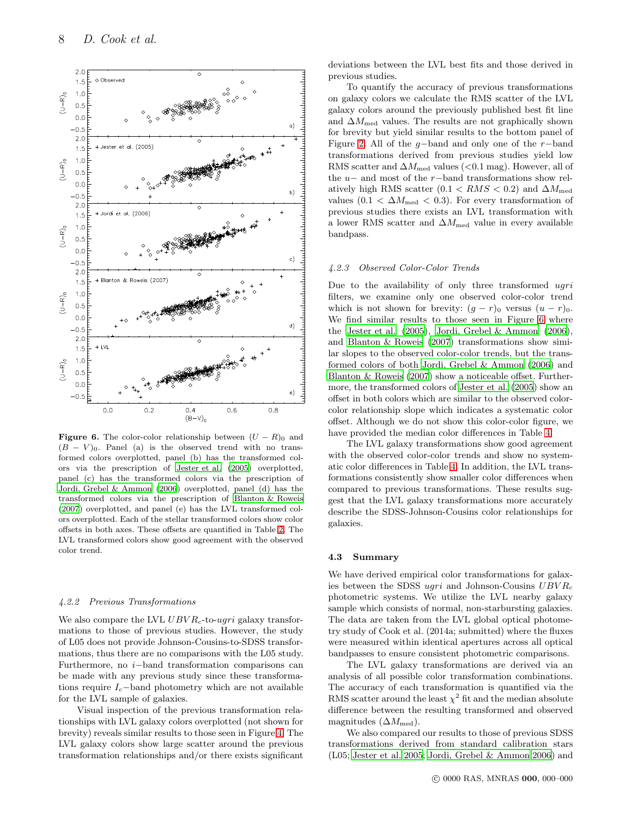

<span id="page-7-0"></span>**Figure 6.** The color-color relationship between  $(U - R)$ <sup>0</sup> and  $(B - V)_0$ . Panel (a) is the observed trend with no transformed colors overplotted, panel (b) has the transformed colors via the prescription of [Jester et al. \(2005\)](#page-8-4) overplotted, panel (c) has the transformed colors via the prescription of [Jordi, Grebel & Ammon \(2006](#page-8-9)) overplotted, panel (d) has the transformed colors via the prescription of [Blanton & Roweis](#page-8-10) [\(2007\)](#page-8-10) overplotted, and panel (e) has the LVL transformed colors overplotted. Each of the stellar transformed colors show color offsets in both axes. These offsets are quantified in Table [2.](#page-6-0) The LVL transformed colors show good agreement with the observed color trend.

## 4.2.2 Previous Transformations

We also compare the LVL  $UBVR<sub>c</sub>$ -to-ugri galaxy transformations to those of previous studies. However, the study of L05 does not provide Johnson-Cousins-to-SDSS transformations, thus there are no comparisons with the L05 study. Furthermore, no i−band transformation comparisons can be made with any previous study since these transformations require  $I_c$ -band photometry which are not available for the LVL sample of galaxies.

Visual inspection of the previous transformation relationships with LVL galaxy colors overplotted (not shown for brevity) reveals similar results to those seen in Figure [4.](#page-4-0) The LVL galaxy colors show large scatter around the previous transformation relationships and/or there exists significant deviations between the LVL best fits and those derived in previous studies.

To quantify the accuracy of previous transformations on galaxy colors we calculate the RMS scatter of the LVL galaxy colors around the previously published best fit line and  $\Delta M_{\rm med}$  values. The results are not graphically shown for brevity but yield similar results to the bottom panel of Figure [2.](#page-3-0) All of the q-band and only one of the r−band transformations derived from previous studies yield low RMS scatter and  $\Delta M_{\text{med}}$  values (<0.1 mag). However, all of the u− and most of the r−band transformations show relatively high RMS scatter  $(0.1 < RMS < 0.2)$  and  $\Delta M_{\text{med}}$ values (0.1 <  $\Delta M_{\text{med}}$  < 0.3). For every transformation of previous studies there exists an LVL transformation with a lower RMS scatter and  $\Delta M_{\text{med}}$  value in every available bandpass.

#### 4.2.3 Observed Color-Color Trends

Due to the availability of only three transformed  $uqri$ filters, we examine only one observed color-color trend which is not shown for brevity:  $(g - r)_0$  versus  $(u - r)_0$ . We find similar results to those seen in Figure [6](#page-7-0) where the [Jester et al. \(2005](#page-8-4)), [Jordi, Grebel & Ammon \(2006](#page-8-9)), and [Blanton & Roweis \(2007](#page-8-10)) transformations show similar slopes to the observed color-color trends, but the transformed colors of both [Jordi, Grebel & Ammon \(2006](#page-8-9)) and [Blanton & Roweis \(2007\)](#page-8-10) show a noticeable offset. Furthermore, the transformed colors of [Jester et al. \(2005](#page-8-4)) show an offset in both colors which are similar to the observed colorcolor relationship slope which indicates a systematic color offset. Although we do not show this color-color figure, we have provided the median color differences in Table [4.](#page-8-23)

The LVL galaxy transformations show good agreement with the observed color-color trends and show no systematic color differences in Table [4.](#page-8-23) In addition, the LVL transformations consistently show smaller color differences when compared to previous transformations. These results suggest that the LVL galaxy transformations more accurately describe the SDSS-Johnson-Cousins color relationships for galaxies.

#### 4.3 Summary

We have derived empirical color transformations for galaxies between the SDSS ugri and Johnson-Cousins  $UBVR_c$ photometric systems. We utilize the LVL nearby galaxy sample which consists of normal, non-starbursting galaxies. The data are taken from the LVL global optical photometry study of Cook et al. (2014a; submitted) where the fluxes were measured within identical apertures across all optical bandpasses to ensure consistent photometric comparisons.

The LVL galaxy transformations are derived via an analysis of all possible color transformation combinations. The accuracy of each transformation is quantified via the RMS scatter around the least  $\chi^2$  fit and the median absolute difference between the resulting transformed and observed magnitudes  $(\Delta M_{\text{med}})$ .

We also compared our results to those of previous SDSS transformations derived from standard calibration stars (L05; [Jester et al. 2005;](#page-8-4) [Jordi, Grebel & Ammon 2006](#page-8-9)) and